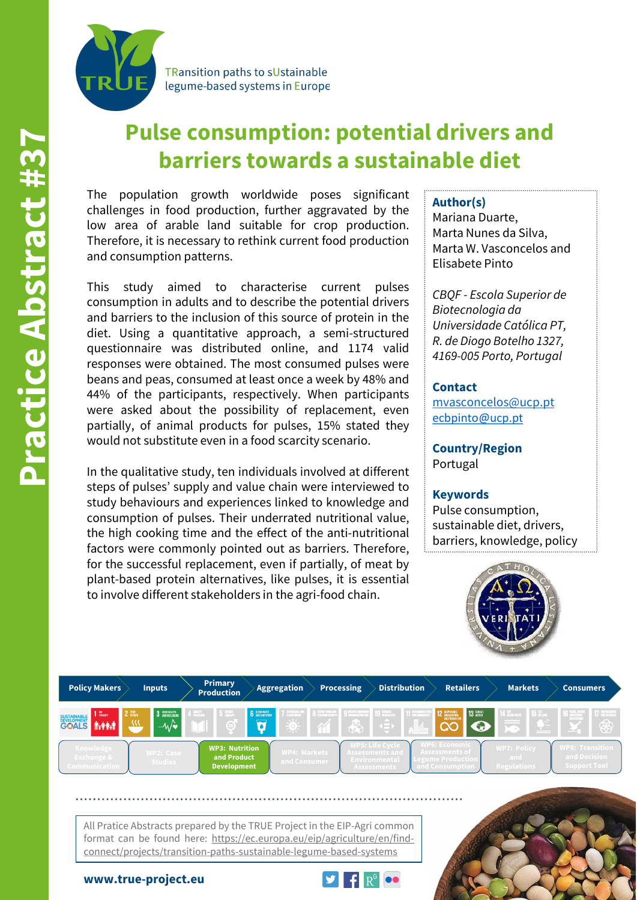

TRansition paths to sUstainable legume-based systems in Europe

# **Pulse consumption: potential drivers and barriers towards a sustainable diet**

The population growth worldwide poses significant challenges in food production, further aggravated by the low area of arable land suitable for crop production. Therefore, it is necessary to rethink current food production and consumption patterns.

This study aimed to characterise current pulses consumption in adults and to describe the potential drivers and barriers to the inclusion of this source of protein in the diet. Using a quantitative approach, a semi-structured questionnaire was distributed online, and 1174 valid responses were obtained. The most consumed pulses were beans and peas, consumed at least once a week by 48% and 44% of the participants, respectively. When participants were asked about the possibility of replacement, even partially, of animal products for pulses, 15% stated they would not substitute even in a food scarcity scenario.

In the qualitative study, ten individuals involved at different steps of pulses' supply and value chain were interviewed to study behaviours and experiences linked to knowledge and consumption of pulses. Their underrated nutritional value, the high cooking time and the effect of the anti-nutritional factors were commonly pointed out as barriers. Therefore, for the successful replacement, even if partially, of meat by plant-based protein alternatives, like pulses, it is essential to involve different stakeholders in the agri-food chain.

### **Author(s)**

Mariana Duarte, Marta Nunes da Silva, Marta W. Vasconcelos and Elisabete Pinto

*CBQF - Escola Superior de Biotecnologia da Universidade Católica PT, R. de Diogo Botelho 1327, 4169-005 Porto, Portugal*

#### **Contact**

[mvasconcelos@ucp.pt](mailto:mvasconcelos@ucp.pt) [ecbpinto@ucp.pt](mailto:ecbpinto@ucp.pt)

**Country/Region** Portugal

#### **Keywords**

Pulse consumption, sustainable diet, drivers, barriers, knowledge, policy



| <b>Policy Makers</b>                                                                        | <b>Inputs</b>                 | <b>Primary</b><br><b>Production</b>                        | <b>Aggregation</b>                                          | <b>Processing</b>                          | <b>Distribution</b>                                                                              | <b>Retailers</b>                                                              | <b>Markets</b>                                                                                                                                                                                                                                                                                                                                                                                                                                                       | <b>Consumers</b>                                                                  |
|---------------------------------------------------------------------------------------------|-------------------------------|------------------------------------------------------------|-------------------------------------------------------------|--------------------------------------------|--------------------------------------------------------------------------------------------------|-------------------------------------------------------------------------------|----------------------------------------------------------------------------------------------------------------------------------------------------------------------------------------------------------------------------------------------------------------------------------------------------------------------------------------------------------------------------------------------------------------------------------------------------------------------|-----------------------------------------------------------------------------------|
| $2$ $\frac{780}{10052}$<br><b>Boxery</b><br>SUSTAINABLE<br>DEVELOPMENT<br>GOALS<br>$\omega$ | 3 SOROHEALTH<br>$-\mathbf{w}$ |                                                            | <b>6</b> CLEAN MATER<br>$\overline{\mathbf{a}}$<br>$\Delta$ | <b>B</b> DECENT WORK AND<br>9 MUSTRI MOVIE | <sup>BEDUCED</sup><br><b>11 SUSTAINABLE CITIES</b><br><sup>⊣</sup> ∰⊞<br>$\left( \equiv \right)$ | 13 GUINATE<br><b>12 ASSPONSIBLE</b><br>AND FROM DUTION<br>Œ                   | <b>14 HE MOVEMENT</b><br><b>15 ST LIFE</b><br>$\frac{1}{\sqrt{2}}\frac{1}{\sqrt{2}}\frac{1}{\sqrt{2}}\frac{1}{\sqrt{2}}\frac{1}{\sqrt{2}}\frac{1}{\sqrt{2}}\frac{1}{\sqrt{2}}\frac{1}{\sqrt{2}}\frac{1}{\sqrt{2}}\frac{1}{\sqrt{2}}\frac{1}{\sqrt{2}}\frac{1}{\sqrt{2}}\frac{1}{\sqrt{2}}\frac{1}{\sqrt{2}}\frac{1}{\sqrt{2}}\frac{1}{\sqrt{2}}\frac{1}{\sqrt{2}}\frac{1}{\sqrt{2}}\frac{1}{\sqrt{2}}\frac{1}{\sqrt{2}}\frac{1}{\sqrt{2}}\frac{1}{\sqrt{2}}$<br>- 67 | <b>16 PEACE, JUSTICE</b><br>17 PARTNERSMES<br>TRATHE GOALS<br>$\circledast$<br>-- |
| Knowledge<br><b>Exchange &amp;</b><br>Communication                                         | WP2: Case<br>Studies          | <b>WP3: Nutrition</b><br>and Product<br><b>Development</b> | <b>WP4: Markets</b><br>and Consumer                         |                                            | <b>WP5: Life Cycle</b><br>Assessments and <b>'</b><br>Environmental<br><b>Assessments</b>        | <b>VP6: Economic</b><br>Assessments of<br>egume Productioi<br>and Consumption | <b>WP7: Policy</b><br>and<br>Regulations                                                                                                                                                                                                                                                                                                                                                                                                                             | <b>WP8: Transition</b><br>and Decision<br>Support Tool                            |

All Pratice Abstracts prepared by the TRUE Project in the EIP-Agri common format can be found here: https://ec.europa.eu/eip/agriculture/en/findconnect/projects/transition-paths-sustainable-legume-based-systems

**www.true-project.eu**